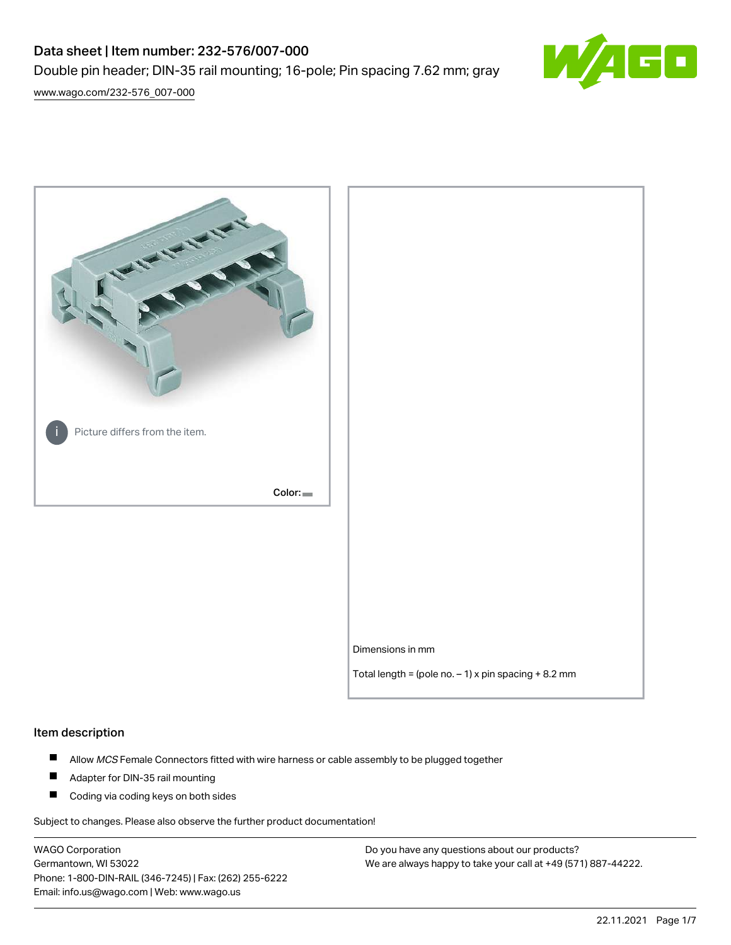# Data sheet | Item number: 232-576/007-000 Double pin header; DIN-35 rail mounting; 16-pole; Pin spacing 7.62 mm; gray



[www.wago.com/232-576\\_007-000](http://www.wago.com/232-576_007-000)



#### Item description

- $\blacksquare$ Allow MCS Female Connectors fitted with wire harness or cable assembly to be plugged together
- $\blacksquare$ Adapter for DIN-35 rail mounting
- $\blacksquare$ Coding via coding keys on both sides

Subject to changes. Please also observe the further product documentation!

WAGO Corporation Germantown, WI 53022 Phone: 1-800-DIN-RAIL (346-7245) | Fax: (262) 255-6222 Email: info.us@wago.com | Web: www.wago.us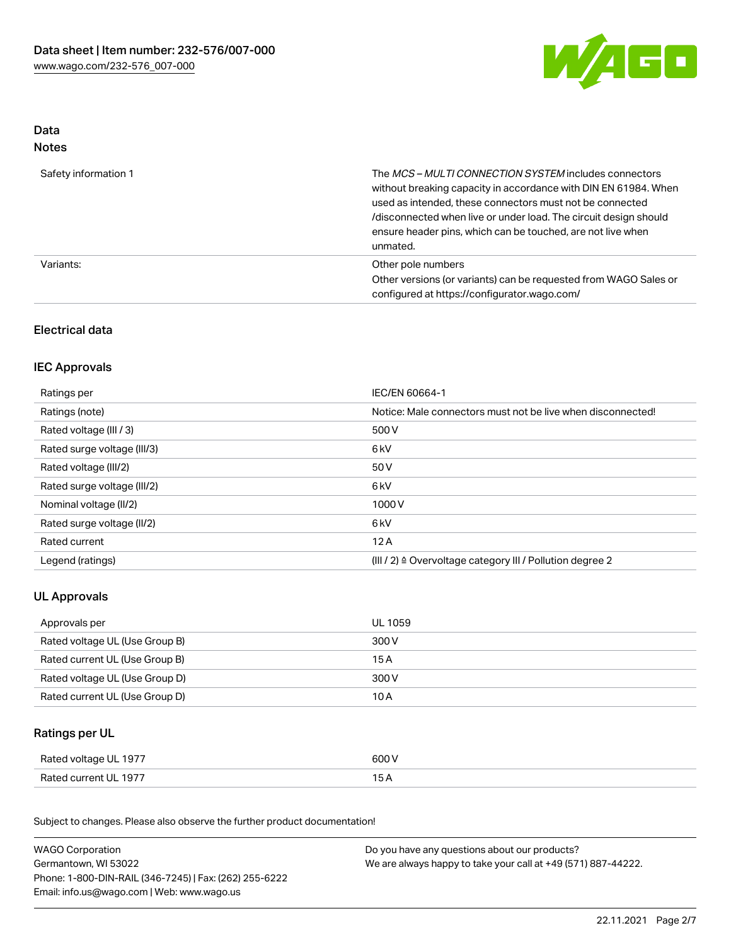

## Data Notes

| Safety information 1 | The <i>MCS – MULTI CONNECTION SYSTEM</i> includes connectors<br>without breaking capacity in accordance with DIN EN 61984. When<br>used as intended, these connectors must not be connected<br>/disconnected when live or under load. The circuit design should<br>ensure header pins, which can be touched, are not live when<br>unmated. |
|----------------------|--------------------------------------------------------------------------------------------------------------------------------------------------------------------------------------------------------------------------------------------------------------------------------------------------------------------------------------------|
| Variants:            | Other pole numbers<br>Other versions (or variants) can be requested from WAGO Sales or<br>configured at https://configurator.wago.com/                                                                                                                                                                                                     |

## Electrical data

## IEC Approvals

| Ratings per                 | IEC/EN 60664-1                                                        |
|-----------------------------|-----------------------------------------------------------------------|
| Ratings (note)              | Notice: Male connectors must not be live when disconnected!           |
| Rated voltage (III / 3)     | 500 V                                                                 |
| Rated surge voltage (III/3) | 6 <sub>kV</sub>                                                       |
| Rated voltage (III/2)       | 50 V                                                                  |
| Rated surge voltage (III/2) | 6 <sub>kV</sub>                                                       |
| Nominal voltage (II/2)      | 1000V                                                                 |
| Rated surge voltage (II/2)  | 6 <sub>kV</sub>                                                       |
| Rated current               | 12A                                                                   |
| Legend (ratings)            | $(III / 2)$ $\triangle$ Overvoltage category III / Pollution degree 2 |

## UL Approvals

| Approvals per                  | UL 1059 |
|--------------------------------|---------|
| Rated voltage UL (Use Group B) | 300 V   |
| Rated current UL (Use Group B) | 15 A    |
| Rated voltage UL (Use Group D) | 300 V   |
| Rated current UL (Use Group D) | 10 A    |

## Ratings per UL

| Rated voltage UL 1977 | 600 V |
|-----------------------|-------|
| Rated current UL 1977 |       |

Subject to changes. Please also observe the further product documentation!

| <b>WAGO Corporation</b>                                | Do you have any questions about our products?                 |  |
|--------------------------------------------------------|---------------------------------------------------------------|--|
| Germantown, WI 53022                                   | We are always happy to take your call at +49 (571) 887-44222. |  |
| Phone: 1-800-DIN-RAIL (346-7245)   Fax: (262) 255-6222 |                                                               |  |
| Email: info.us@wago.com   Web: www.wago.us             |                                                               |  |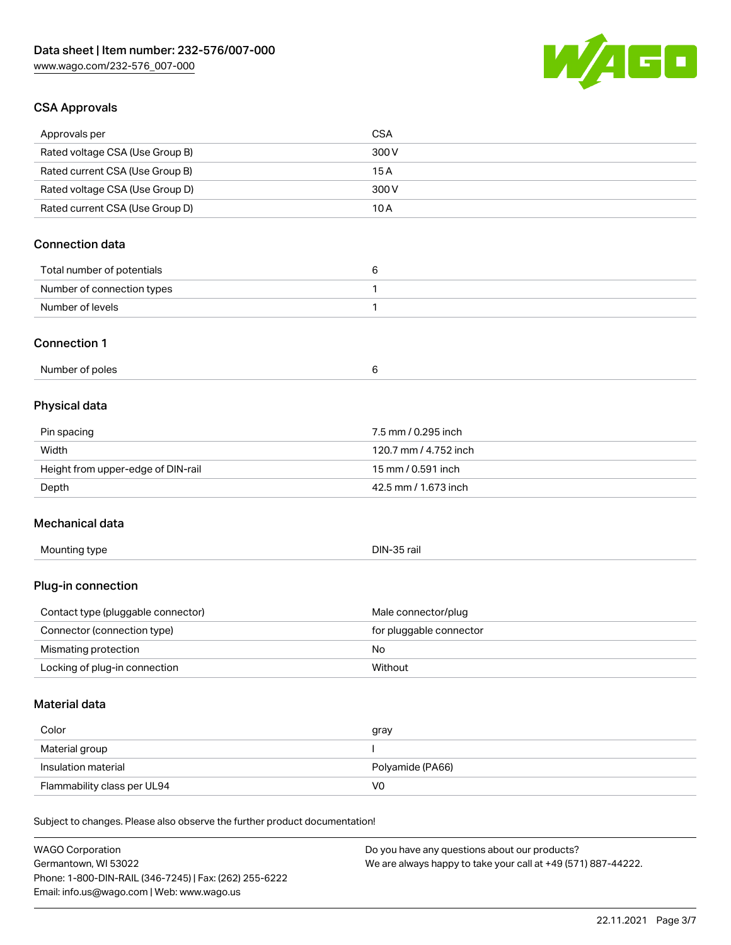

## CSA Approvals

| Approvals per                                                              | <b>CSA</b>                                    |
|----------------------------------------------------------------------------|-----------------------------------------------|
| Rated voltage CSA (Use Group B)                                            | 300V                                          |
| Rated current CSA (Use Group B)                                            | 15A                                           |
| Rated voltage CSA (Use Group D)                                            | 300V                                          |
| Rated current CSA (Use Group D)                                            | 10A                                           |
|                                                                            |                                               |
| <b>Connection data</b>                                                     |                                               |
| Total number of potentials                                                 | 6                                             |
| Number of connection types                                                 | 1                                             |
| Number of levels                                                           | 1                                             |
|                                                                            |                                               |
| <b>Connection 1</b>                                                        |                                               |
| Number of poles                                                            | 6                                             |
|                                                                            |                                               |
| Physical data                                                              |                                               |
| Pin spacing                                                                | 7.5 mm / 0.295 inch                           |
| Width                                                                      | 120.7 mm / 4.752 inch                         |
| Height from upper-edge of DIN-rail                                         | 15 mm / 0.591 inch                            |
| Depth                                                                      | 42.5 mm / 1.673 inch                          |
|                                                                            |                                               |
| Mechanical data                                                            |                                               |
| Mounting type                                                              | DIN-35 rail                                   |
|                                                                            |                                               |
| Plug-in connection                                                         |                                               |
| Contact type (pluggable connector)                                         | Male connector/plug                           |
| Connector (connection type)                                                | for pluggable connector                       |
| Mismating protection                                                       | No                                            |
| Locking of plug-in connection                                              | Without                                       |
|                                                                            |                                               |
| <b>Material data</b>                                                       |                                               |
| Color                                                                      | gray                                          |
| Material group                                                             |                                               |
| Insulation material                                                        | Polyamide (PA66)                              |
| Flammability class per UL94                                                | V <sub>0</sub>                                |
|                                                                            |                                               |
| Subject to changes. Please also observe the further product documentation! |                                               |
| <b>WAGO Corporation</b>                                                    | Do you have any questions about our products? |

WAGO Corporation Germantown, WI 53022 Phone: 1-800-DIN-RAIL (346-7245) | Fax: (262) 255-6222 Email: info.us@wago.com | Web: www.wago.us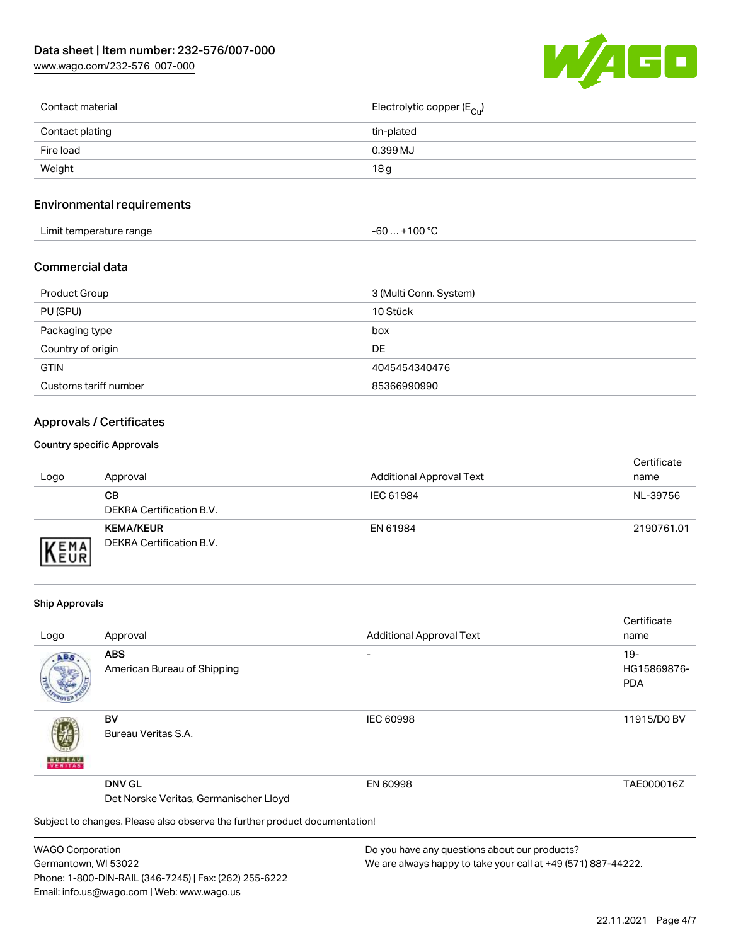[www.wago.com/232-576\\_007-000](http://www.wago.com/232-576_007-000)



| Contact material | Electrolytic copper (E <sub>Cu</sub> ) |
|------------------|----------------------------------------|
| Contact plating  | tin-plated                             |
| Fire load        | 0.399 MJ                               |
| Weight           | 18g                                    |
|                  |                                        |

## Environmental requirements

| Limit temperature range<br>the contract of the contract of the contract of the contract of the contract of the contract of the contract of | +100 °C<br>-60 |
|--------------------------------------------------------------------------------------------------------------------------------------------|----------------|
|--------------------------------------------------------------------------------------------------------------------------------------------|----------------|

## Commercial data

| Product Group         | 3 (Multi Conn. System) |
|-----------------------|------------------------|
| PU (SPU)              | 10 Stück               |
| Packaging type        | box                    |
| Country of origin     | DE                     |
| <b>GTIN</b>           | 4045454340476          |
| Customs tariff number | 85366990990            |

## Approvals / Certificates

#### Country specific Approvals

| Logo               | Approval                                     | <b>Additional Approval Text</b> | Certificate<br>name |
|--------------------|----------------------------------------------|---------------------------------|---------------------|
|                    | CВ<br>DEKRA Certification B.V.               | IEC 61984                       | NL-39756            |
| EMA<br><b>NEUR</b> | <b>KEMA/KEUR</b><br>DEKRA Certification B.V. | EN 61984                        | 2190761.01          |

#### Ship Approvals

Email: info.us@wago.com | Web: www.wago.us

|                         |                                                                            |                                                               | Certificate |
|-------------------------|----------------------------------------------------------------------------|---------------------------------------------------------------|-------------|
| Logo                    | Approval                                                                   | <b>Additional Approval Text</b>                               | name        |
| ABS                     | <b>ABS</b>                                                                 |                                                               | $19 -$      |
|                         | American Bureau of Shipping                                                |                                                               | HG15869876- |
|                         |                                                                            |                                                               | <b>PDA</b>  |
|                         | BV                                                                         | <b>IEC 60998</b>                                              | 11915/D0 BV |
|                         | Bureau Veritas S.A.                                                        |                                                               |             |
|                         | <b>DNV GL</b>                                                              | EN 60998                                                      | TAE000016Z  |
|                         | Det Norske Veritas, Germanischer Lloyd                                     |                                                               |             |
|                         | Subject to changes. Please also observe the further product documentation! |                                                               |             |
| <b>WAGO Corporation</b> |                                                                            | Do you have any questions about our products?                 |             |
| Germantown, WI 53022    |                                                                            | We are always happy to take your call at +49 (571) 887-44222. |             |
|                         | Phone: 1-800-DIN-RAIL (346-7245)   Fax: (262) 255-6222                     |                                                               |             |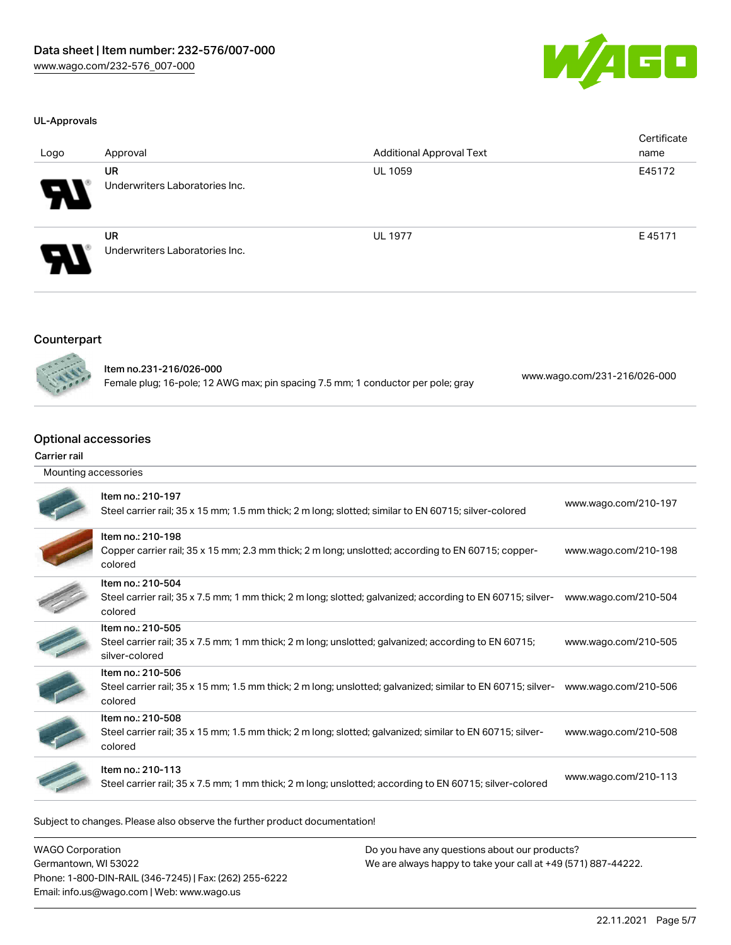

#### UL-Approvals

| Logo   | Approval                                    | <b>Additional Approval Text</b> | Certificate<br>name |
|--------|---------------------------------------------|---------------------------------|---------------------|
| Я      | <b>UR</b><br>Underwriters Laboratories Inc. | <b>UL 1059</b>                  | E45172              |
| 8<br>N | <b>UR</b><br>Underwriters Laboratories Inc. | <b>UL 1977</b>                  | E45171              |

#### Counterpart



Item no.231-216/026-000 Female plug; 16-pole; 12 AWG max; pin spacing 7.5 mm; 1 conductor per pole; gray [www.wago.com/231-216/026-000](https://www.wago.com/231-216/026-000)

## Optional accessories

#### Carrier rail

| Mounting accessories |                                                                                                                                             |                      |  |  |
|----------------------|---------------------------------------------------------------------------------------------------------------------------------------------|----------------------|--|--|
|                      | Item no.: 210-197<br>Steel carrier rail; 35 x 15 mm; 1.5 mm thick; 2 m long; slotted; similar to EN 60715; silver-colored                   | www.wago.com/210-197 |  |  |
|                      | Item no.: 210-198<br>Copper carrier rail; 35 x 15 mm; 2.3 mm thick; 2 m long; unslotted; according to EN 60715; copper-<br>colored          | www.wago.com/210-198 |  |  |
|                      | Item no.: 210-504<br>Steel carrier rail; 35 x 7.5 mm; 1 mm thick; 2 m long; slotted; galvanized; according to EN 60715; silver-<br>colored  | www.wago.com/210-504 |  |  |
|                      | Item no.: 210-505<br>Steel carrier rail; 35 x 7.5 mm; 1 mm thick; 2 m long; unslotted; galvanized; according to EN 60715;<br>silver-colored | www.wago.com/210-505 |  |  |
|                      | Item no.: 210-506<br>Steel carrier rail; 35 x 15 mm; 1.5 mm thick; 2 m long; unslotted; galvanized; similar to EN 60715; silver-<br>colored | www.wago.com/210-506 |  |  |
|                      | Item no.: 210-508<br>Steel carrier rail; 35 x 15 mm; 1.5 mm thick; 2 m long; slotted; galvanized; similar to EN 60715; silver-<br>colored   | www.wago.com/210-508 |  |  |
|                      | Item no.: 210-113<br>Steel carrier rail; 35 x 7.5 mm; 1 mm thick; 2 m long; unslotted; according to EN 60715; silver-colored                | www.wago.com/210-113 |  |  |
|                      |                                                                                                                                             |                      |  |  |

Subject to changes. Please also observe the further product documentation!

WAGO Corporation Germantown, WI 53022 Phone: 1-800-DIN-RAIL (346-7245) | Fax: (262) 255-6222 Email: info.us@wago.com | Web: www.wago.us Do you have any questions about our products? We are always happy to take your call at +49 (571) 887-44222.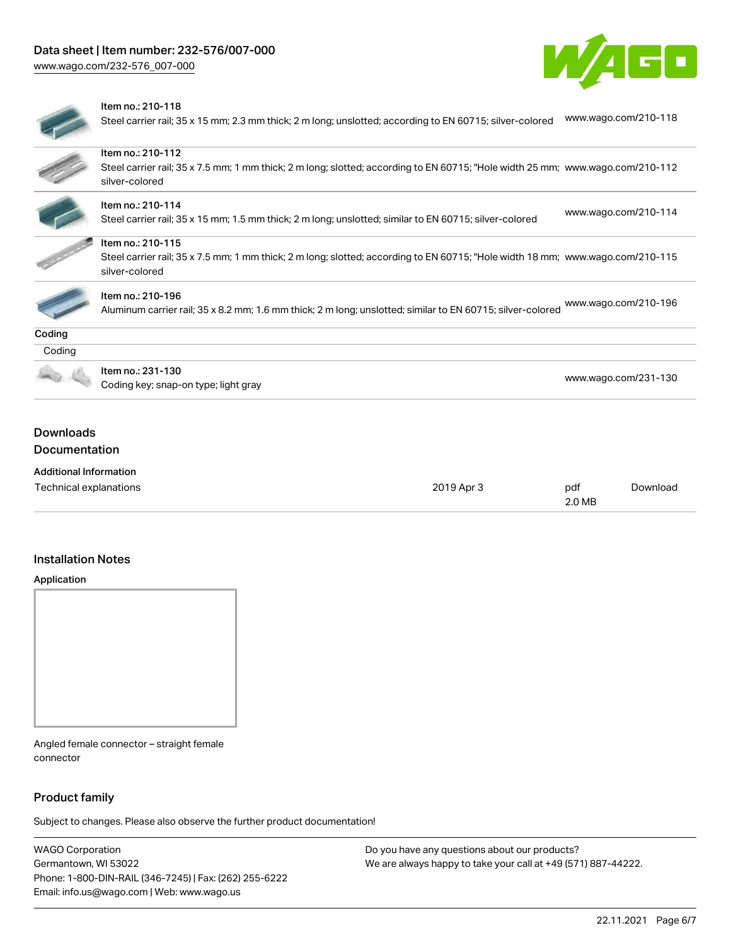[www.wago.com/232-576\\_007-000](http://www.wago.com/232-576_007-000)





#### Item no.: 210-118

Steel carrier rail; 35 x 15 mm; 2.3 mm thick; 2 m long; unslotted; according to EN 60715; silver-colored [www.wago.com/210-118](http://www.wago.com/210-118)

|                               | Item no.: 210-112                                                                                                                                |                      |
|-------------------------------|--------------------------------------------------------------------------------------------------------------------------------------------------|----------------------|
|                               | Steel carrier rail; 35 x 7.5 mm; 1 mm thick; 2 m long; slotted; according to EN 60715; "Hole width 25 mm; www.wago.com/210-112<br>silver-colored |                      |
|                               | Item no.: 210-114                                                                                                                                |                      |
|                               | Steel carrier rail; 35 x 15 mm; 1.5 mm thick; 2 m long; unslotted; similar to EN 60715; silver-colored                                           | www.wago.com/210-114 |
|                               | Item no.: 210-115                                                                                                                                |                      |
|                               | Steel carrier rail; 35 x 7.5 mm; 1 mm thick; 2 m long; slotted; according to EN 60715; "Hole width 18 mm; www.wago.com/210-115                   |                      |
|                               | silver-colored                                                                                                                                   |                      |
|                               | Item no.: 210-196                                                                                                                                |                      |
|                               | Aluminum carrier rail; 35 x 8.2 mm; 1.6 mm thick; 2 m long; unslotted; similar to EN 60715; silver-colored                                       | www.wago.com/210-196 |
| Coding                        |                                                                                                                                                  |                      |
| Coding                        |                                                                                                                                                  |                      |
|                               | Item no.: 231-130                                                                                                                                |                      |
|                               | Coding key; snap-on type; light gray                                                                                                             | www.wago.com/231-130 |
|                               |                                                                                                                                                  |                      |
| <b>Downloads</b>              |                                                                                                                                                  |                      |
| <b>Documentation</b>          |                                                                                                                                                  |                      |
| <b>Additional Information</b> |                                                                                                                                                  |                      |

| Technical explanations | 2019 Apr 3 | pdf    | Download |
|------------------------|------------|--------|----------|
|                        |            | 2.0 MB |          |

## Installation Notes

#### Application



Angled female connector – straight female connector

#### Product family

Subject to changes. Please also observe the further product documentation!

WAGO Corporation Germantown, WI 53022 Phone: 1-800-DIN-RAIL (346-7245) | Fax: (262) 255-6222 Email: info.us@wago.com | Web: www.wago.us